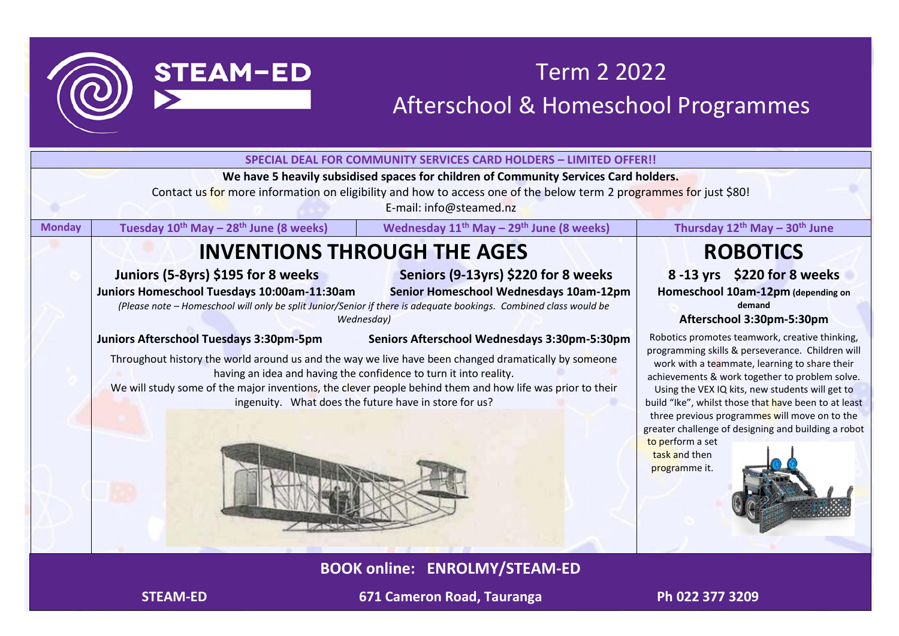

# Term 2 2022 Afterschool & Homeschool Programmes

|               |                                                                                                                                                                                                                                                                                                                                                                                                                                                          | <b>SPECIAL DEAL FOR COMMUNITY SERVICES CARD HOLDERS - LIMITED OFFER!!</b>                                                                                                                                                             |                                                                                                                                                                                                                                                                                                                                                                                                                                                                                |
|---------------|----------------------------------------------------------------------------------------------------------------------------------------------------------------------------------------------------------------------------------------------------------------------------------------------------------------------------------------------------------------------------------------------------------------------------------------------------------|---------------------------------------------------------------------------------------------------------------------------------------------------------------------------------------------------------------------------------------|--------------------------------------------------------------------------------------------------------------------------------------------------------------------------------------------------------------------------------------------------------------------------------------------------------------------------------------------------------------------------------------------------------------------------------------------------------------------------------|
|               |                                                                                                                                                                                                                                                                                                                                                                                                                                                          | We have 5 heavily subsidised spaces for children of Community Services Card holders.<br>Contact us for more information on eligibility and how to access one of the below term 2 programmes for just \$80!<br>E-mail: info@steamed.nz |                                                                                                                                                                                                                                                                                                                                                                                                                                                                                |
| <b>Monday</b> | Tuesday 10 <sup>th</sup> May - 28 <sup>th</sup> June (8 weeks)                                                                                                                                                                                                                                                                                                                                                                                           | Wednesday 11 <sup>th</sup> May - 29 <sup>th</sup> June (8 weeks)                                                                                                                                                                      | Thursday 12 <sup>th</sup> May - 30 <sup>th</sup> June                                                                                                                                                                                                                                                                                                                                                                                                                          |
|               | <b>INVENTIONS THROUGH THE AGES</b>                                                                                                                                                                                                                                                                                                                                                                                                                       |                                                                                                                                                                                                                                       | <b>ROBOTICS</b>                                                                                                                                                                                                                                                                                                                                                                                                                                                                |
|               | Juniors (5-8yrs) \$195 for 8 weeks<br>Juniors Homeschool Tuesdays 10:00am-11:30am<br>(Please note - Homeschool will only be split Junior/Senior if there is adequate bookings. Combined class would be                                                                                                                                                                                                                                                   | Seniors (9-13yrs) \$220 for 8 weeks<br>Senior Homeschool Wednesdays 10am-12pm                                                                                                                                                         | 8-13 yrs \$220 for 8 weeks<br>Homeschool 10am-12pm (depending on<br>demand<br>Afterschool 3:30pm-5:30pm                                                                                                                                                                                                                                                                                                                                                                        |
|               | Wednesday)<br>Juniors Afterschool Tuesdays 3:30pm-5pm<br>Seniors Afterschool Wednesdays 3:30pm-5:30pm<br>Throughout history the world around us and the way we live have been changed dramatically by someone<br>having an idea and having the confidence to turn it into reality.<br>We will study some of the major inventions, the clever people behind them and how life was prior to their<br>ingenuity. What does the future have in store for us? |                                                                                                                                                                                                                                       | Robotics promotes teamwork, creative thinking,<br>programming skills & perseverance. Children will<br>work with a teammate, learning to share their<br>achievements & work together to problem solve.<br>Using the VEX IQ kits, new students will get to<br>build "Ike", whilst those that have been to at least<br>three previous programmes will move on to the<br>greater challenge of designing and building a robot<br>to perform a set<br>task and then<br>programme it. |
|               |                                                                                                                                                                                                                                                                                                                                                                                                                                                          |                                                                                                                                                                                                                                       |                                                                                                                                                                                                                                                                                                                                                                                                                                                                                |

**BOOK online: ENROLMY/STEAM-ED**

**STEAM-ED** 671 Cameron Road, Tauranga Ph 022 377 3209